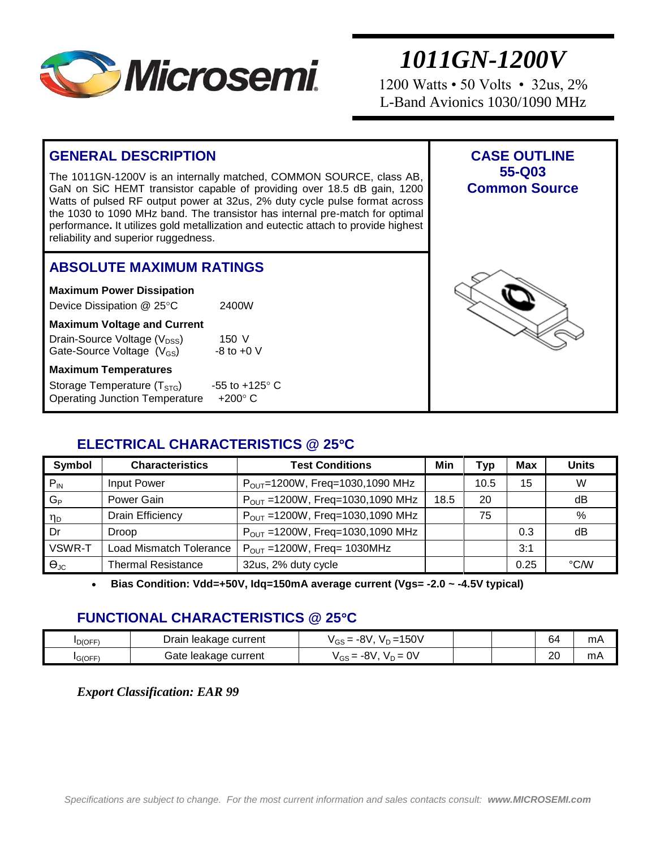

1200 Watts • 50 Volts • 32us, 2% L-Band Avionics 1030/1090 MHz

#### **GENERAL DESCRIPTION** The 1011GN-1200V is an internally matched, COMMON SOURCE, class AB, GaN on SiC HEMT transistor capable of providing over 18.5 dB gain, 1200 Watts of pulsed RF output power at 32us, 2% duty cycle pulse format across the 1030 to 1090 MHz band. The transistor has internal pre-match for optimal performance**.** It utilizes gold metallization and eutectic attach to provide highest reliability and superior ruggedness. **CASE OUTLINE 55-Q03 Common Source ABSOLUTE MAXIMUM RATINGS Maximum Power Dissipation**  Device Dissipation @ 25°C 2400W **Maximum Voltage and Current** Drain-Source Voltage  $(V_{DSS})$  150 V<br>Gate-Source Voltage  $(V_{CS})$  -8 to +0 V Gate-Source Voltage  $(V_{GS})$ **Maximum Temperatures** Storage Temperature  $(T_{STG})$  -55 to +125 $^{\circ}$  C Operating Junction Temperature +200° C

### **ELECTRICAL CHARACTERISTICS @ 25C**

| <b>Symbol</b>        | <b>Characteristics</b>         | <b>Test Conditions</b>                 | Min  | Typ  | <b>Max</b> | <b>Units</b> |
|----------------------|--------------------------------|----------------------------------------|------|------|------------|--------------|
| $P_{IN}$             | Input Power                    | $P_{OUT}$ =1200W, Freq=1030,1090 MHz   |      | 10.5 | 15         | W            |
| $G_P$                | Power Gain                     | $P_{OUT} = 1200W$ , Freq=1030,1090 MHz | 18.5 | 20   |            | dB           |
| η <sub>D</sub>       | <b>Drain Efficiency</b>        | $P_{OUT} = 1200W$ , Freq=1030,1090 MHz |      | 75   |            | %            |
| Dr                   | <b>Droop</b>                   | $P_{OUT} = 1200W$ , Freq=1030,1090 MHz |      |      | 0.3        | dB           |
| VSWR-T               | <b>Load Mismatch Tolerance</b> | $P_{OUT}$ =1200W, Freq= 1030MHz        |      |      | 3:1        |              |
| $\Theta_{\text{JC}}$ | <b>Thermal Resistance</b>      | 32us, 2% duty cycle                    |      |      | 0.25       | °C/W         |

**Bias Condition: Vdd=+50V, Idq=150mA average current (Vgs= -2.0 ~ -4.5V typical)**

#### **FUNCTIONAL CHARACTERISTICS @ 25C**

| <b>ID(OFF</b> | ' prain<br>leakage current | 150V<br>-8V<br>$V \cap \equiv$<br>$\sim$ $\approx$<br>GS | 64 | mA |
|---------------|----------------------------|----------------------------------------------------------|----|----|
| IG(OFF)       | current<br>∃ate<br>leakade | n١<br>0V<br>Vre ≡<br>$V \cap \equiv$<br>-0 V             | 20 | m⊬ |

*Export Classification: EAR 99*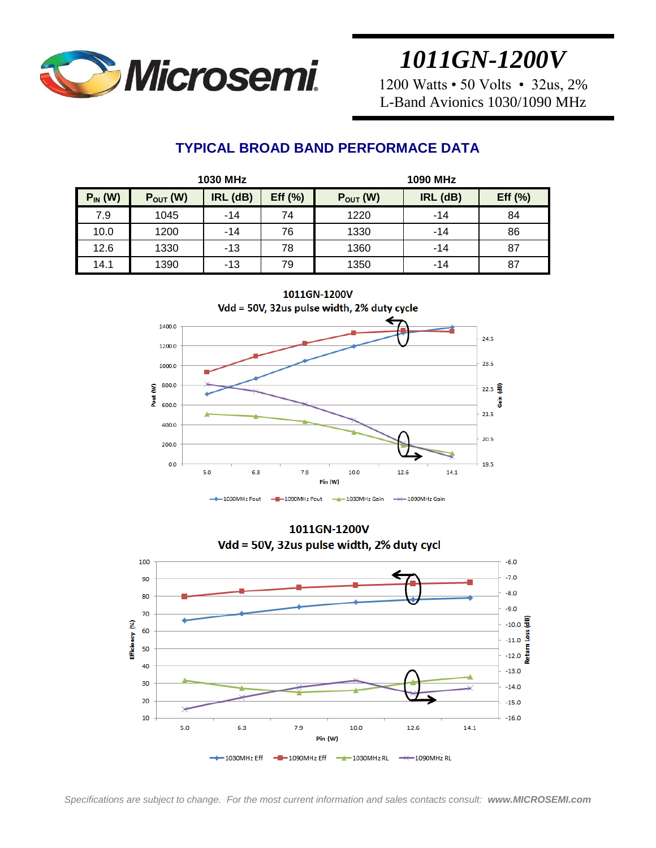

1200 Watts • 50 Volts • 32us, 2% L-Band Avionics 1030/1090 MHz

### **TYPICAL BROAD BAND PERFORMACE DATA**

| 1030 MHz     |               |          |             | 1090 MHz      |          |         |
|--------------|---------------|----------|-------------|---------------|----------|---------|
| $P_{IN}$ (W) | $P_{OUT}$ (W) | IRL (dB) | Eff $(\% )$ | $P_{OUT}$ (W) | IRL (dB) | Eff (%) |
| 7.9          | 1045          | $-14$    | 74          | 1220          | $-14$    | 84      |
| 10.0         | 1200          | $-14$    | 76          | 1330          | $-14$    | 86      |
| 12.6         | 1330          | $-13$    | 78          | 1360          | $-14$    | 87      |
| 14.1         | 1390          | -13      | 79          | 1350          | $-14$    | 87      |
|              |               |          |             |               |          |         |

1011GN-1200V Vdd = 50V, 32us pulse width, 2% duty cycle 1400.0 24.5 1200.0 1000.0 23.5 Pout (W) 800.0  $22.5 \frac{2}{3}$ å 600.0  $21.5$ 400.0 20.5 200.0  $0.0$  $19.5$ 5.0  $6.3$ 7.9  $10.0$ 12.6  $14.1$ Pin (W)  $-4$  1030MHz Gain  $-$  1030MHz Pout  $-$ B $-$ 1090MHz Pout  $\rightarrow$  1090MHz Gain

1011GN-1200V Vdd = 50V, 32us pulse width, 2% duty cycl

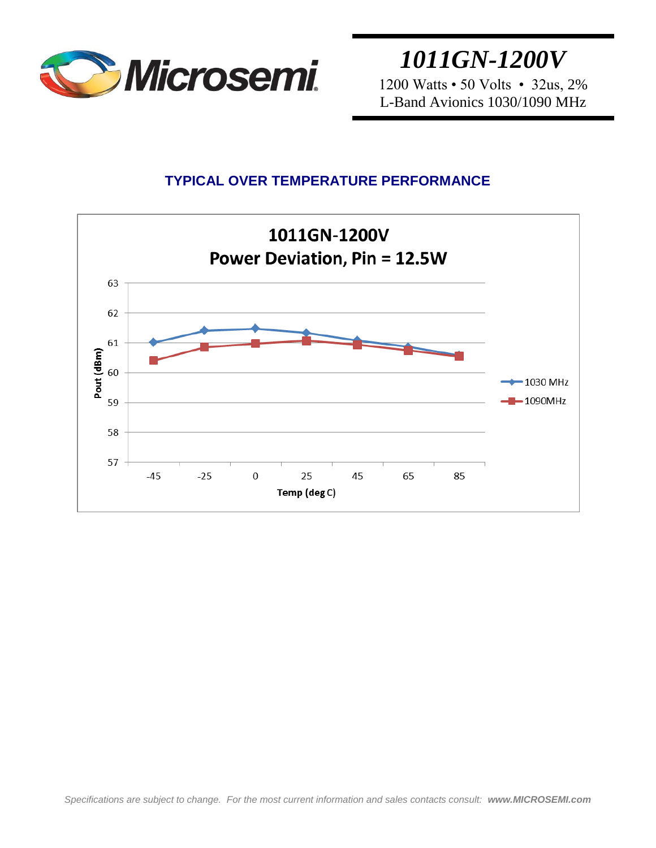

*1011GN-1200V* 1200 Watts • 50 Volts • 32us, 2%

L-Band Avionics 1030/1090 MHz

### **TYPICAL OVER TEMPERATURE PERFORMANCE**

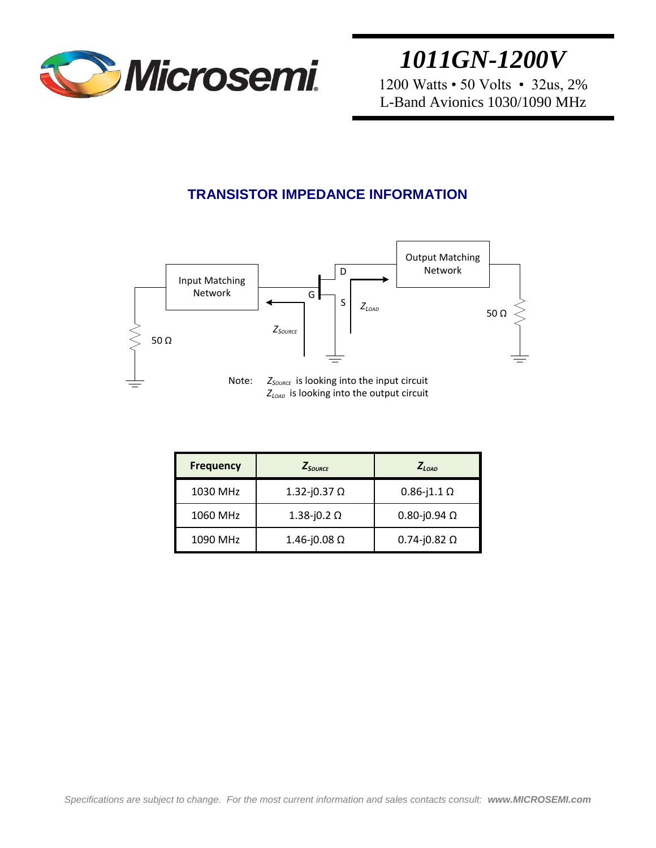

1200 Watts • 50 Volts • 32us, 2% L-Band Avionics 1030/1090 MHz

### **TRANSISTOR IMPEDANCE INFORMATION**



| <b>Frequency</b> | $Z_{\text{Source}}$ | $Z_{I,0AD}$             |
|------------------|---------------------|-------------------------|
| 1030 MHz         | 1.32-j0.37 $\Omega$ | $0.86 - j1.1$ $\Omega$  |
| 1060 MHz         | 1.38-j0.2 Ω         | $0.80 - j0.94$ $\Omega$ |
| 1090 MHz         | 1.46-j0.08 Ω        | $0.74 - j0.82$ $\Omega$ |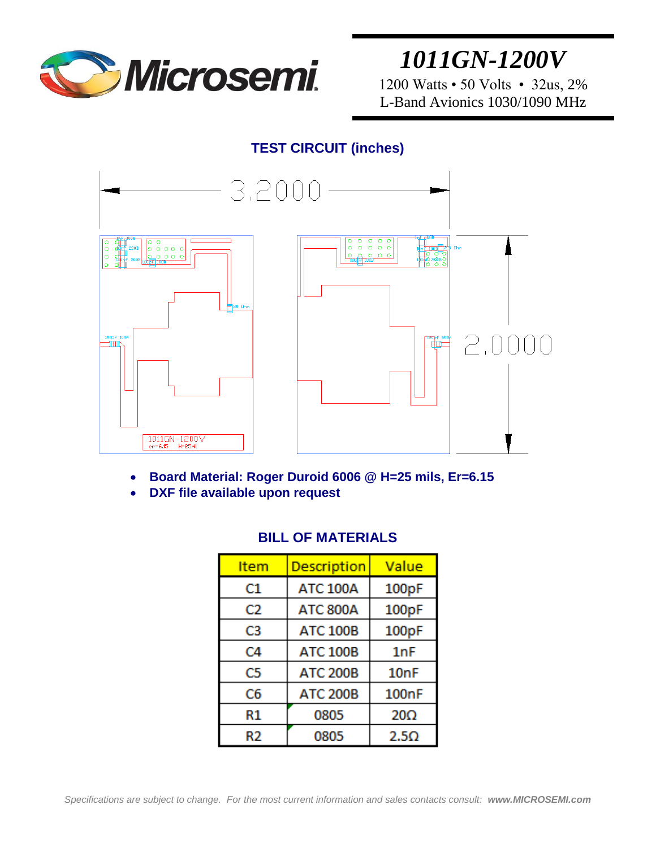

1200 Watts • 50 Volts • 32us, 2% L-Band Avionics 1030/1090 MHz

#### **TEST CIRCUIT (inches)**



- **Board Material: Roger Duroid 6006 @ H=25 mils, Er=6.15**
- **DXF file available upon request**

| <b>Item</b> | <b>Description</b> | Value              |
|-------------|--------------------|--------------------|
| C1          | <b>ATC 100A</b>    | 100pF              |
| C2          | <b>ATC 800A</b>    | 100pF              |
| C3          | <b>ATC 100B</b>    | 100pF              |
| C4          | <b>ATC 100B</b>    | 1nF                |
| C5          | <b>ATC 200B</b>    | 10 <sub>nF</sub>   |
| C6          | <b>ATC 200B</b>    | 100 <sub>n</sub> F |
| R1          | 0805               | $20\Omega$         |
| R2          | 0805               | $2.5\Omega$        |

#### **BILL OF MATERIALS**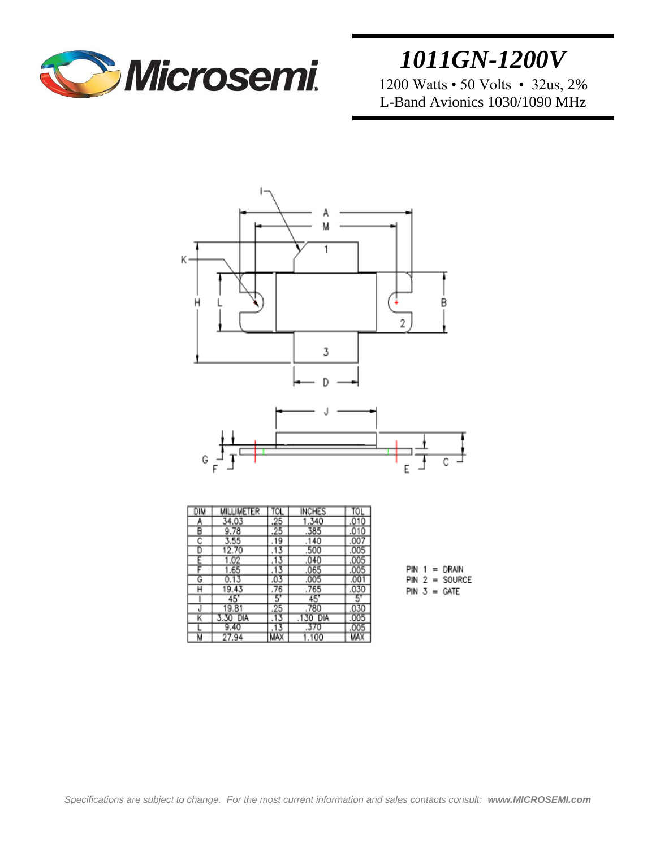

1200 Watts • 50 Volts • 32us, 2% L-Band Avionics 1030/1090 MHz